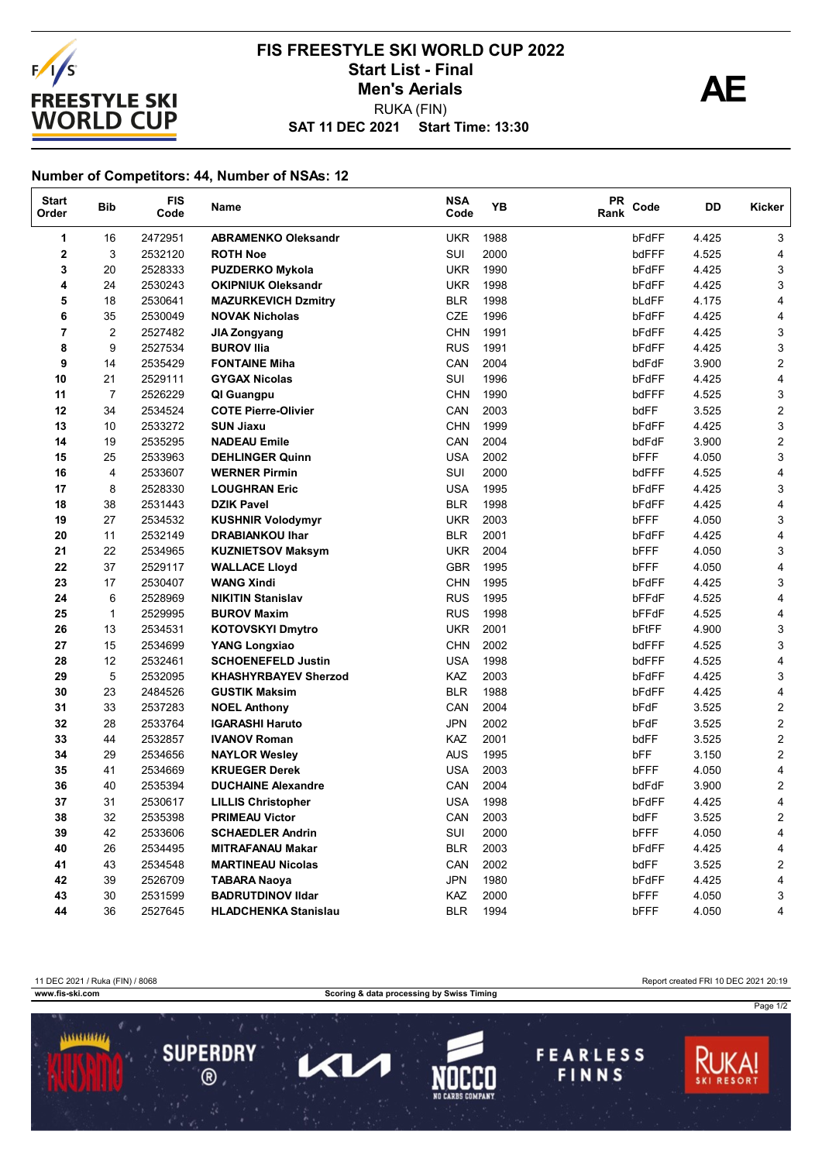

## **SAT 11 DEC 2021 Start Time: 13:30 FIS FREESTYLE SKI WORLD CUP 2022** Start List - Final<br>
Men's Aerials **AE** RUKA (FIN) **Men's Aerials**

## **Number of Competitors: 44, Number of NSAs: 12**

| <b>Start</b><br>Order | <b>Bib</b>              | <b>FIS</b><br>Code | Name                        | <b>NSA</b><br>Code | YB   | <b>PR</b><br>Rank | Code  | DD    | Kicker                  |
|-----------------------|-------------------------|--------------------|-----------------------------|--------------------|------|-------------------|-------|-------|-------------------------|
| 1                     | 16                      | 2472951            | <b>ABRAMENKO Oleksandr</b>  | <b>UKR</b>         | 1988 |                   | bFdFF | 4.425 | 3                       |
| 2                     | 3                       | 2532120            | <b>ROTH Noe</b>             | SUI                | 2000 |                   | bdFFF | 4.525 | 4                       |
| 3                     | 20                      | 2528333            | <b>PUZDERKO Mykola</b>      | <b>UKR</b>         | 1990 |                   | bFdFF | 4.425 | 3                       |
| 4                     | 24                      | 2530243            | <b>OKIPNIUK Oleksandr</b>   | <b>UKR</b>         | 1998 |                   | bFdFF | 4.425 | 3                       |
| 5                     | 18                      | 2530641            | <b>MAZURKEVICH Dzmitry</b>  | <b>BLR</b>         | 1998 |                   | bLdFF | 4.175 | 4                       |
| 6                     | 35                      | 2530049            | <b>NOVAK Nicholas</b>       | CZE                | 1996 |                   | bFdFF | 4.425 | 4                       |
| 7                     | $\overline{\mathbf{c}}$ | 2527482            | JIA Zongyang                | <b>CHN</b>         | 1991 |                   | bFdFF | 4.425 | 3                       |
| 8                     | 9                       | 2527534            | <b>BUROV Ilia</b>           | <b>RUS</b>         | 1991 |                   | bFdFF | 4.425 | 3                       |
| 9                     | 14                      | 2535429            | <b>FONTAINE Miha</b>        | CAN                | 2004 |                   | bdFdF | 3.900 | 2                       |
| 10                    | 21                      | 2529111            | <b>GYGAX Nicolas</b>        | SUI                | 1996 |                   | bFdFF | 4.425 | 4                       |
| 11                    | 7                       | 2526229            | QI Guangpu                  | <b>CHN</b>         | 1990 |                   | bdFFF | 4.525 | 3                       |
| 12                    | 34                      | 2534524            | <b>COTE Pierre-Olivier</b>  | CAN                | 2003 |                   | bdFF  | 3.525 | 2                       |
| 13                    | 10                      | 2533272            | <b>SUN Jiaxu</b>            | <b>CHN</b>         | 1999 |                   | bFdFF | 4.425 | 3                       |
| 14                    | 19                      | 2535295            | <b>NADEAU Emile</b>         | CAN                | 2004 |                   | bdFdF | 3.900 | $\overline{\mathbf{c}}$ |
| 15                    | 25                      | 2533963            | <b>DEHLINGER Quinn</b>      | <b>USA</b>         | 2002 |                   | bFFF  | 4.050 | 3                       |
| 16                    | 4                       | 2533607            | <b>WERNER Pirmin</b>        | SUI                | 2000 |                   | bdFFF | 4.525 | 4                       |
| 17                    | 8                       | 2528330            | <b>LOUGHRAN Eric</b>        | <b>USA</b>         | 1995 |                   | bFdFF | 4.425 | 3                       |
| 18                    | 38                      | 2531443            | <b>DZIK Pavel</b>           | <b>BLR</b>         | 1998 |                   | bFdFF | 4.425 | 4                       |
| 19                    | 27                      | 2534532            | <b>KUSHNIR Volodymyr</b>    | <b>UKR</b>         | 2003 |                   | bFFF  | 4.050 | 3                       |
| 20                    | 11                      | 2532149            | <b>DRABIANKOU Ihar</b>      | <b>BLR</b>         | 2001 |                   | bFdFF | 4.425 | 4                       |
| 21                    | 22                      | 2534965            | <b>KUZNIETSOV Maksym</b>    | <b>UKR</b>         | 2004 |                   | bFFF  | 4.050 | 3                       |
| 22                    | 37                      | 2529117            | <b>WALLACE Lloyd</b>        | <b>GBR</b>         | 1995 |                   | bFFF  | 4.050 | 4                       |
| 23                    | 17                      | 2530407            | <b>WANG Xindi</b>           | <b>CHN</b>         | 1995 |                   | bFdFF | 4.425 | 3                       |
| 24                    | 6                       | 2528969            | <b>NIKITIN Stanislav</b>    | <b>RUS</b>         | 1995 |                   | bFFdF | 4.525 | 4                       |
| 25                    | $\mathbf{1}$            | 2529995            | <b>BUROV Maxim</b>          | <b>RUS</b>         | 1998 |                   | bFFdF | 4.525 | 4                       |
| 26                    | 13                      | 2534531            | <b>KOTOVSKYI Dmytro</b>     | <b>UKR</b>         | 2001 |                   | bFtFF | 4.900 | 3                       |
| 27                    | 15                      | 2534699            | <b>YANG Longxiao</b>        | <b>CHN</b>         | 2002 |                   | bdFFF | 4.525 | 3                       |
| 28                    | 12                      | 2532461            | <b>SCHOENEFELD Justin</b>   | <b>USA</b>         | 1998 |                   | bdFFF | 4.525 | 4                       |
| 29                    | 5                       | 2532095            | <b>KHASHYRBAYEV Sherzod</b> | KAZ                | 2003 |                   | bFdFF | 4.425 | 3                       |
| 30                    | 23                      | 2484526            | <b>GUSTIK Maksim</b>        | <b>BLR</b>         | 1988 |                   | bFdFF | 4.425 | 4                       |
| 31                    | 33                      | 2537283            | <b>NOEL Anthony</b>         | CAN                | 2004 |                   | bFdF  | 3.525 | $\overline{2}$          |
| 32                    | 28                      | 2533764            | <b>IGARASHI Haruto</b>      | <b>JPN</b>         | 2002 |                   | bFdF  | 3.525 | $\overline{\mathbf{c}}$ |
| 33                    | 44                      | 2532857            | <b>IVANOV Roman</b>         | KAZ                | 2001 |                   | bdFF  | 3.525 | $\overline{\mathbf{c}}$ |
| 34                    | 29                      | 2534656            | <b>NAYLOR Wesley</b>        | <b>AUS</b>         | 1995 |                   | bFF   | 3.150 | $\overline{c}$          |
| 35                    | 41                      | 2534669            | <b>KRUEGER Derek</b>        | <b>USA</b>         | 2003 |                   | bFFF  | 4.050 | 4                       |
| 36                    | 40                      | 2535394            | <b>DUCHAINE Alexandre</b>   | CAN                | 2004 |                   | bdFdF | 3.900 | 2                       |
| 37                    | 31                      | 2530617            | <b>LILLIS Christopher</b>   | <b>USA</b>         | 1998 |                   | bFdFF | 4.425 | 4                       |
| 38                    | 32                      | 2535398            | <b>PRIMEAU Victor</b>       | CAN                | 2003 |                   | bdFF  | 3.525 | 2                       |
| 39                    | 42                      | 2533606            | <b>SCHAEDLER Andrin</b>     | SUI                | 2000 |                   | bFFF  | 4.050 | 4                       |
| 40                    | 26                      | 2534495            | <b>MITRAFANAU Makar</b>     | <b>BLR</b>         | 2003 |                   | bFdFF | 4.425 | 4                       |
| 41                    | 43                      | 2534548            | <b>MARTINEAU Nicolas</b>    | CAN                | 2002 |                   | bdFF  | 3.525 | 2                       |
| 42                    | 39                      | 2526709            | <b>TABARA Naoya</b>         | <b>JPN</b>         | 1980 |                   | bFdFF | 4.425 | 4                       |
| 43                    | 30                      | 2531599            | <b>BADRUTDINOV IIdar</b>    | KAZ                | 2000 |                   | bFFF  | 4.050 | 3                       |
| 44                    | 36                      | 2527645            | <b>HLADCHENKA Stanislau</b> | <b>BLR</b>         | 1994 |                   | bFFF  | 4.050 | 4                       |

11 DEC 2021 / Ruka (FIN) / 8068 Report created FRI 10 DEC 2021 20:19